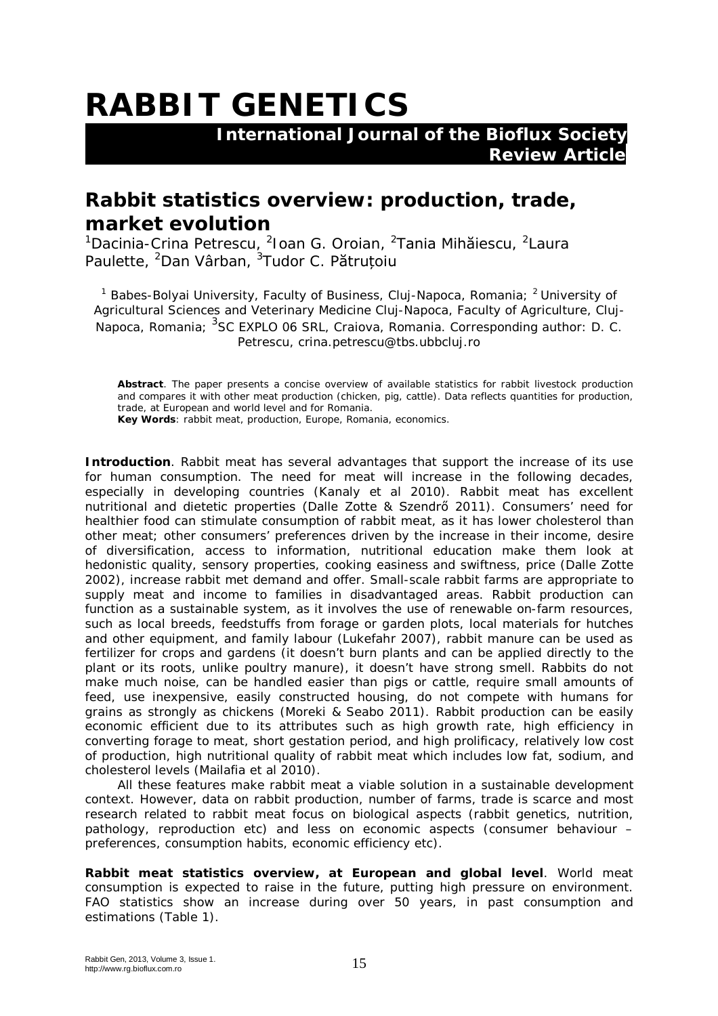## **RABBIT GENETICS**

 **International Journal of the Bioflux Society Review Article** 

## **Rabbit statistics overview: production, trade, market evolution**

<sup>1</sup>Dacinia-Crina Petrescu, <sup>2</sup>Ioan G. Oroian, <sup>2</sup>Tania Mihăiescu, <sup>2</sup>Laura Paulette, <sup>2</sup>Dan Vârban, <sup>3</sup>Tudor C. P**ătruțoiu** 

<sup>1</sup> Babes-Bolyai University, Faculty of Business, Cluj-Napoca, Romania; <sup>2</sup> University of Agricultural Sciences and Veterinary Medicine Cluj-Napoca, Faculty of Agriculture, Cluj-Napoca, Romania; <sup>3</sup>SC EXPLO 06 SRL, Craiova, Romania. Corresponding author: D. C. Petrescu, crina.petrescu@tbs.ubbcluj.ro

**Abstract**. The paper presents a concise overview of available statistics for rabbit livestock production and compares it with other meat production (chicken, pig, cattle). Data reflects quantities for production, trade, at European and world level and for Romania.

**Key Words**: rabbit meat, production, Europe, Romania, economics.

**Introduction**. Rabbit meat has several advantages that support the increase of its use for human consumption. The need for meat will increase in the following decades, especially in developing countries (Kanaly et al 2010). Rabbit meat has excellent nutritional and dietetic properties (Dalle Zotte & Szendrő 2011). Consumers' need for healthier food can stimulate consumption of rabbit meat, as it has lower cholesterol than other meat; other consumers' preferences driven by the increase in their income, desire of diversification, access to information, nutritional education make them look at hedonistic quality, sensory properties, cooking easiness and swiftness, price (Dalle Zotte 2002), increase rabbit met demand and offer. Small-scale rabbit farms are appropriate to supply meat and income to families in disadvantaged areas. Rabbit production can function as a sustainable system, as it involves the use of renewable on-farm resources, such as local breeds, feedstuffs from forage or garden plots, local materials for hutches and other equipment, and family labour (Lukefahr 2007), rabbit manure can be used as fertilizer for crops and gardens (it doesn't burn plants and can be applied directly to the plant or its roots, unlike poultry manure), it doesn't have strong smell. Rabbits do not make much noise, can be handled easier than pigs or cattle, require small amounts of feed, use inexpensive, easily constructed housing, do not compete with humans for grains as strongly as chickens (Moreki & Seabo 2011). Rabbit production can be easily economic efficient due to its attributes such as high growth rate, high efficiency in converting forage to meat, short gestation period, and high prolificacy, relatively low cost of production, high nutritional quality of rabbit meat which includes low fat, sodium, and cholesterol levels (Mailafia et al 2010).

All these features make rabbit meat a viable solution in a sustainable development context. However, data on rabbit production, number of farms, trade is scarce and most research related to rabbit meat focus on biological aspects (rabbit genetics, nutrition, pathology, reproduction etc) and less on economic aspects (consumer behaviour – preferences, consumption habits, economic efficiency etc).

**Rabbit meat statistics overview, at European and global level**. World meat consumption is expected to raise in the future, putting high pressure on environment. FAO statistics show an increase during over 50 years, in past consumption and estimations (Table 1).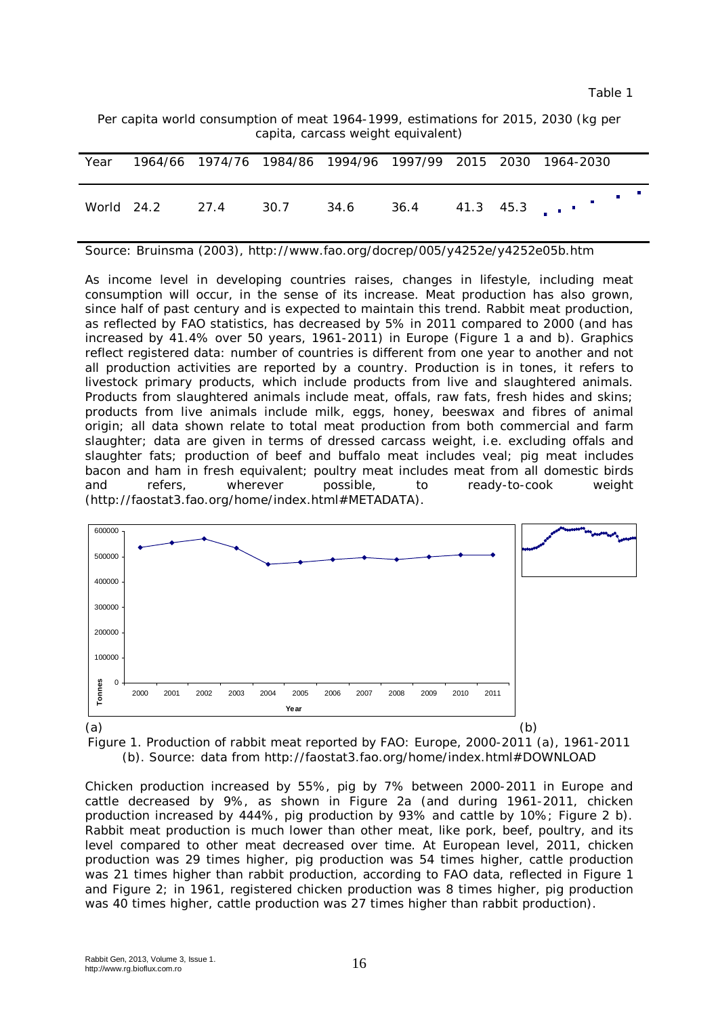Per capita world consumption of meat 1964-1999, estimations for 2015, 2030 (kg per capita, carcass weight equivalent)

| Year |                                          |  |  |  | 1964/66 1974/76 1984/86 1994/96 1997/99 2015 2030 1964-2030 |
|------|------------------------------------------|--|--|--|-------------------------------------------------------------|
|      | World 24.2 27.4 30.7 34.6 36.4 41.3 45.3 |  |  |  |                                                             |

Source: Bruinsma (2003), http://www.fao.org/docrep/005/y4252e/y4252e05b.htm

As income level in developing countries raises, changes in lifestyle, including meat consumption will occur, in the sense of its increase. Meat production has also grown, since half of past century and is expected to maintain this trend. Rabbit meat production, as reflected by FAO statistics, has decreased by 5% in 2011 compared to 2000 (and has increased by 41.4% over 50 years, 1961-2011) in Europe (Figure 1 a and b). Graphics reflect registered data: number of countries is different from one year to another and not all production activities are reported by a country. Production is in tones, it refers to livestock primary products, which include products from live and slaughtered animals. Products from slaughtered animals include meat, offals, raw fats, fresh hides and skins; products from live animals include milk, eggs, honey, beeswax and fibres of animal origin; all data shown relate to total meat production from both commercial and farm slaughter; data are given in terms of dressed carcass weight, i.e. excluding offals and slaughter fats; production of beef and buffalo meat includes veal; pig meat includes bacon and ham in fresh equivalent; poultry meat includes meat from all domestic birds and refers, wherever possible, to ready-to-cook weight (http://faostat3.fao.org/home/index.html#METADATA).



Figure 1. Production of rabbit meat reported by FAO: Europe, 2000-2011 (a), 1961-2011 (b). Source: data from http://faostat3.fao.org/home/index.html#DOWNLOAD

Chicken production increased by 55%, pig by 7% between 2000-2011 in Europe and cattle decreased by 9%, as shown in Figure 2a (and during 1961-2011, chicken production increased by 444%, pig production by 93% and cattle by 10%; Figure 2 b). Rabbit meat production is much lower than other meat, like pork, beef, poultry, and its level compared to other meat decreased over time. At European level, 2011, chicken production was 29 times higher, pig production was 54 times higher, cattle production was 21 times higher than rabbit production, according to FAO data, reflected in Figure 1 and Figure 2; in 1961, registered chicken production was 8 times higher, pig production was 40 times higher, cattle production was 27 times higher than rabbit production).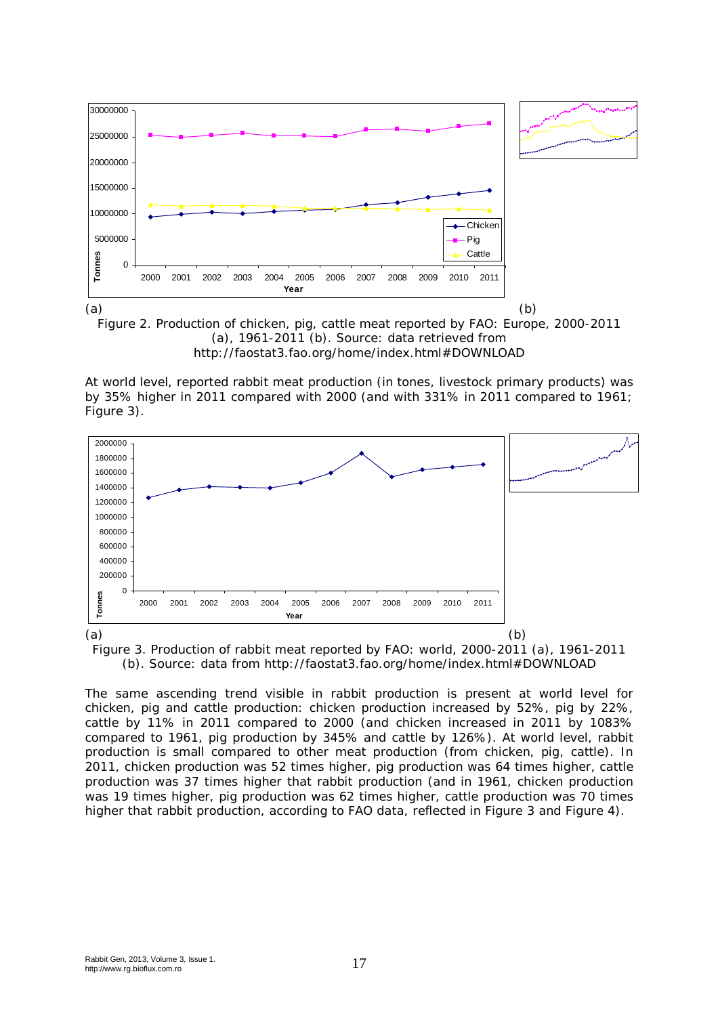

http://faostat3.fao.org/home/index.html#DOWNLOAD

At world level, reported rabbit meat production (in tones, livestock primary products) was by 35% higher in 2011 compared with 2000 (and with 331% in 2011 compared to 1961; Figure 3).



Figure 3. Production of rabbit meat reported by FAO: world, 2000-2011 (a), 1961-2011 (b). Source: data from http://faostat3.fao.org/home/index.html#DOWNLOAD

The same ascending trend visible in rabbit production is present at world level for chicken, pig and cattle production: chicken production increased by 52%, pig by 22%, cattle by 11% in 2011 compared to 2000 (and chicken increased in 2011 by 1083% compared to 1961, pig production by 345% and cattle by 126%). At world level, rabbit production is small compared to other meat production (from chicken, pig, cattle). In 2011, chicken production was 52 times higher, pig production was 64 times higher, cattle production was 37 times higher that rabbit production (and in 1961, chicken production was 19 times higher, pig production was 62 times higher, cattle production was 70 times higher that rabbit production, according to FAO data, reflected in Figure 3 and Figure 4).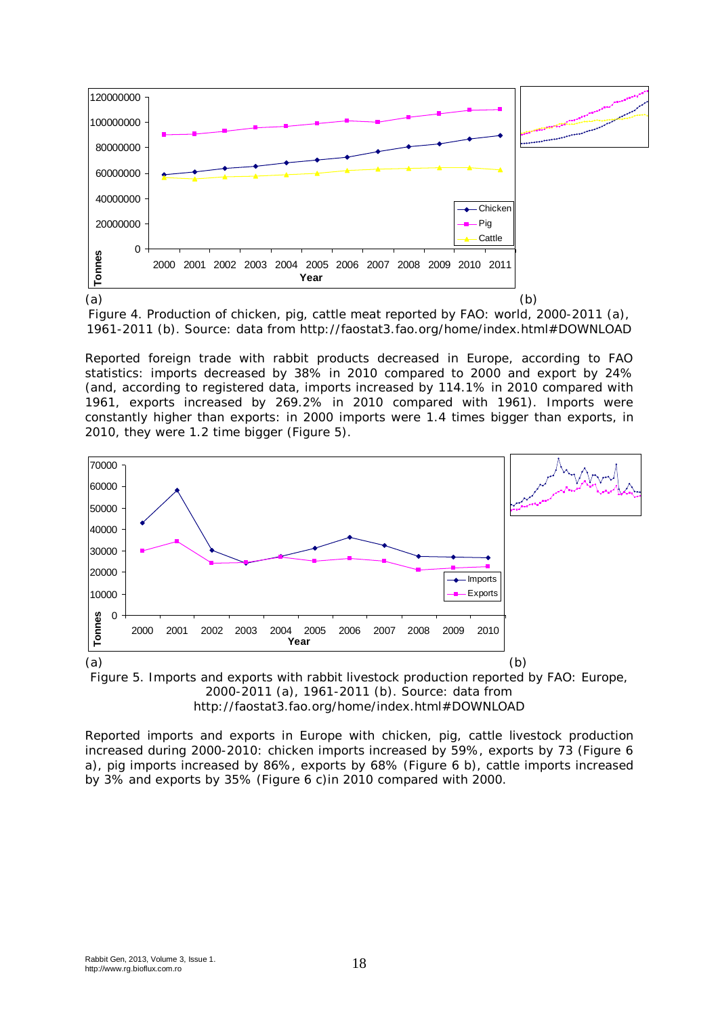

Figure 4. Production of chicken, pig, cattle meat reported by FAO: world, 2000-2011 (a), 1961-2011 (b). Source: data from http://faostat3.fao.org/home/index.html#DOWNLOAD

Reported foreign trade with rabbit products decreased in Europe, according to FAO statistics: imports decreased by 38% in 2010 compared to 2000 and export by 24% (and, according to registered data, imports increased by 114.1% in 2010 compared with 1961, exports increased by 269.2% in 2010 compared with 1961). Imports were constantly higher than exports: in 2000 imports were 1.4 times bigger than exports, in 2010, they were 1.2 time bigger (Figure 5).



Figure 5. Imports and exports with rabbit livestock production reported by FAO: Europe, 2000-2011 (a), 1961-2011 (b). Source: data from http://faostat3.fao.org/home/index.html#DOWNLOAD

Reported imports and exports in Europe with chicken, pig, cattle livestock production increased during 2000-2010: chicken imports increased by 59%, exports by 73 (Figure 6 a), pig imports increased by 86%, exports by 68% (Figure 6 b), cattle imports increased by 3% and exports by 35% (Figure 6 c)in 2010 compared with 2000.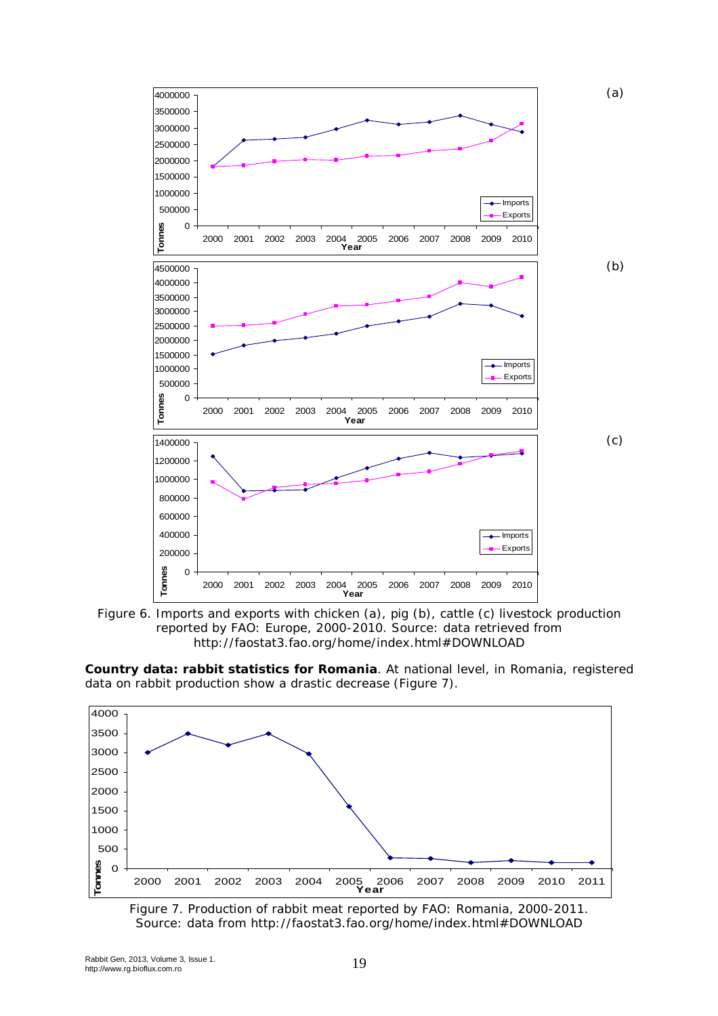



**Country data: rabbit statistics for Romania**. At national level, in Romania, registered data on rabbit production show a drastic decrease (Figure 7).



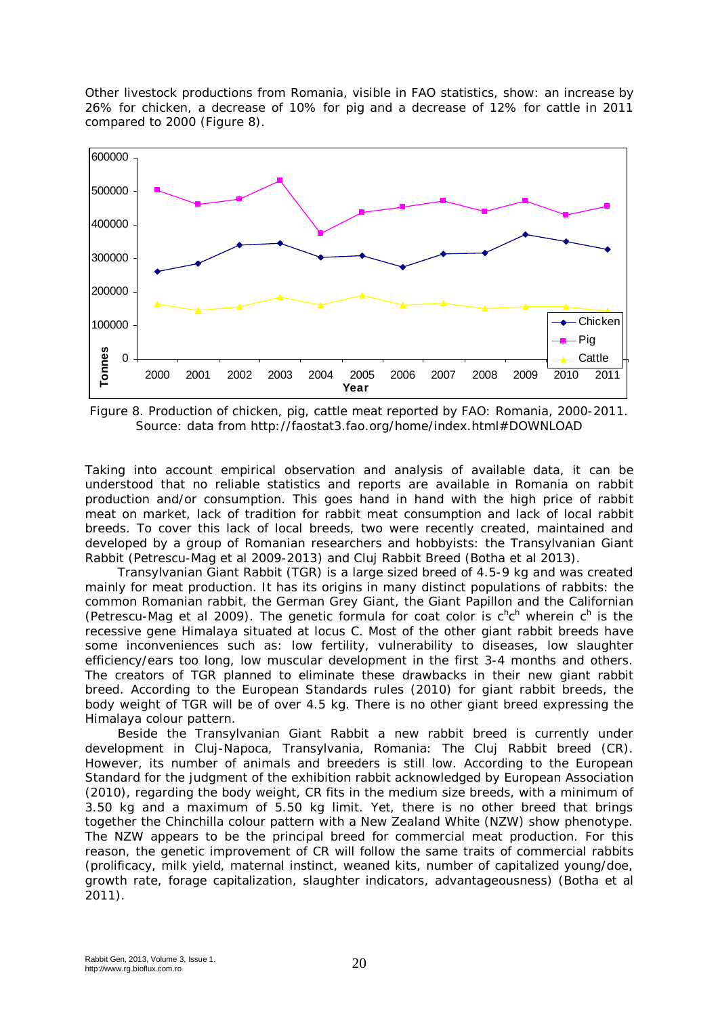Other livestock productions from Romania, visible in FAO statistics, show: an increase by 26% for chicken, a decrease of 10% for pig and a decrease of 12% for cattle in 2011 compared to 2000 (Figure 8).



Figure 8. Production of chicken, pig, cattle meat reported by FAO: Romania, 2000-2011. Source: data from http://faostat3.fao.org/home/index.html#DOWNLOAD

Taking into account empirical observation and analysis of available data, it can be understood that no reliable statistics and reports are available in Romania on rabbit production and/or consumption. This goes hand in hand with the high price of rabbit meat on market, lack of tradition for rabbit meat consumption and lack of local rabbit breeds. To cover this lack of local breeds, two were recently created, maintained and developed by a group of Romanian researchers and hobbyists: the Transylvanian Giant Rabbit (Petrescu-Mag et al 2009-2013) and Cluj Rabbit Breed (Botha et al 2013).

Transylvanian Giant Rabbit (TGR) is a large sized breed of 4.5-9 kg and was created mainly for meat production. It has its origins in many distinct populations of rabbits: the common Romanian rabbit, the German Grey Giant, the Giant Papillon and the Californian (Petrescu-Mag et al 2009). The genetic formula for coat color is  $c^h c^h$  wherein  $c^h$  is the recessive gene Himalaya situated at locus C. Most of the other giant rabbit breeds have some inconveniences such as: low fertility, vulnerability to diseases, low slaughter efficiency/ears too long, low muscular development in the first 3-4 months and others. The creators of TGR planned to eliminate these drawbacks in their new giant rabbit breed. According to the European Standards rules (2010) for giant rabbit breeds, the body weight of TGR will be of over 4.5 kg. There is no other giant breed expressing the Himalaya colour pattern.

Beside the Transylvanian Giant Rabbit a new rabbit breed is currently under development in Cluj-Napoca, Transylvania, Romania: The Cluj Rabbit breed (CR). However, its number of animals and breeders is still low. According to the European Standard for the judgment of the exhibition rabbit acknowledged by European Association (2010), regarding the body weight, CR fits in the medium size breeds, with a minimum of 3.50 kg and a maximum of 5.50 kg limit. Yet, there is no other breed that brings together the Chinchilla colour pattern with a New Zealand White (NZW) show phenotype. The NZW appears to be the principal breed for commercial meat production. For this reason, the genetic improvement of CR will follow the same traits of commercial rabbits (prolificacy, milk yield, maternal instinct, weaned kits, number of capitalized young/doe, growth rate, forage capitalization, slaughter indicators, advantageousness) (Botha et al 2011).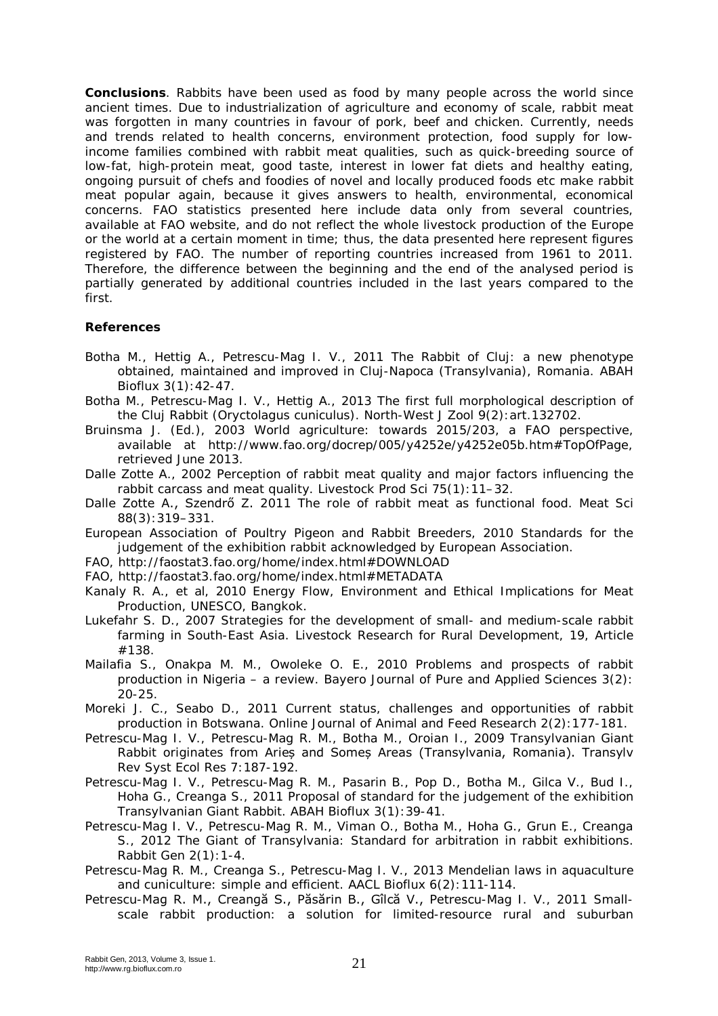**Conclusions**. Rabbits have been used as food by many people across the world since ancient times. Due to industrialization of agriculture and economy of scale, rabbit meat was forgotten in many countries in favour of pork, beef and chicken. Currently, needs and trends related to health concerns, environment protection, food supply for lowincome families combined with rabbit meat qualities, such as quick-breeding source of low-fat, high-protein meat, good taste, interest in lower fat diets and healthy eating, ongoing pursuit of chefs and foodies of novel and locally produced foods etc make rabbit meat popular again, because it gives answers to health, environmental, economical concerns. FAO statistics presented here include data only from several countries, available at FAO website, and do not reflect the whole livestock production of the Europe or the world at a certain moment in time; thus, the data presented here represent figures registered by FAO. The number of reporting countries increased from 1961 to 2011. Therefore, the difference between the beginning and the end of the analysed period is partially generated by additional countries included in the last years compared to the first.

## **References**

- Botha M., Hettig A., Petrescu-Mag I. V., 2011 The Rabbit of Cluj: a new phenotype obtained, maintained and improved in Cluj-Napoca (Transylvania), Romania. ABAH Bioflux 3(1):42-47.
- Botha M., Petrescu-Mag I. V., Hettig A., 2013 The first full morphological description of the Cluj Rabbit (*Oryctolagus cuniculus*). North-West J Zool 9(2):art.132702.
- Bruinsma J. (Ed.), 2003 World agriculture: towards 2015/203, a FAO perspective, available at http://www.fao.org/docrep/005/y4252e/y4252e05b.htm#TopOfPage, retrieved June 2013.
- Dalle Zotte A., 2002 Perception of rabbit meat quality and major factors influencing the rabbit carcass and meat quality. Livestock Prod Sci 75(1):11–32.
- Dalle Zotte A., Szendrő Z. 2011 The role of rabbit meat as functional food. Meat Sci 88(3):319–331.
- European Association of Poultry Pigeon and Rabbit Breeders, 2010 Standards for the judgement of the exhibition rabbit acknowledged by European Association.
- FAO, http://faostat3.fao.org/home/index.html#DOWNLOAD
- FAO, http://faostat3.fao.org/home/index.html#METADATA
- Kanaly R. A., et al, 2010 Energy Flow, Environment and Ethical Implications for Meat Production, UNESCO, Bangkok.
- Lukefahr S. D., 2007 Strategies for the development of small- and medium-scale rabbit farming in South-East Asia. Livestock Research for Rural Development, 19, Article #138.
- Mailafia S., Onakpa M. M., Owoleke O. E., 2010 Problems and prospects of rabbit production in Nigeria – a review. Bayero Journal of Pure and Applied Sciences 3(2): 20-25.
- Moreki J. C., Seabo D., 2011 Current status, challenges and opportunities of rabbit production in Botswana. Online Journal of Animal and Feed Research 2(2):177-181.
- Petrescu-Mag I. V., Petrescu-Mag R. M., Botha M., Oroian I., 2009 Transylvanian Giant Rabbit originates from Arieș and Someș Areas (Transylvania, Romania). Transylv Rev Syst Ecol Res 7:187-192.
- Petrescu-Mag I. V., Petrescu-Mag R. M., Pasarin B., Pop D., Botha M., Gilca V., Bud I., Hoha G., Creanga S., 2011 Proposal of standard for the judgement of the exhibition Transylvanian Giant Rabbit. ABAH Bioflux 3(1):39-41.
- Petrescu-Mag I. V., Petrescu-Mag R. M., Viman O., Botha M., Hoha G., Grun E., Creanga S., 2012 The Giant of Transylvania: Standard for arbitration in rabbit exhibitions. Rabbit Gen 2(1):1-4.
- Petrescu-Mag R. M., Creanga S., Petrescu-Mag I. V., 2013 Mendelian laws in aquaculture and cuniculture: simple and efficient. AACL Bioflux 6(2):111-114.
- Petrescu-Mag R. M., Creangă S., Păsărin B., Gîlcă V., Petrescu-Mag I. V., 2011 Smallscale rabbit production: a solution for limited-resource rural and suburban